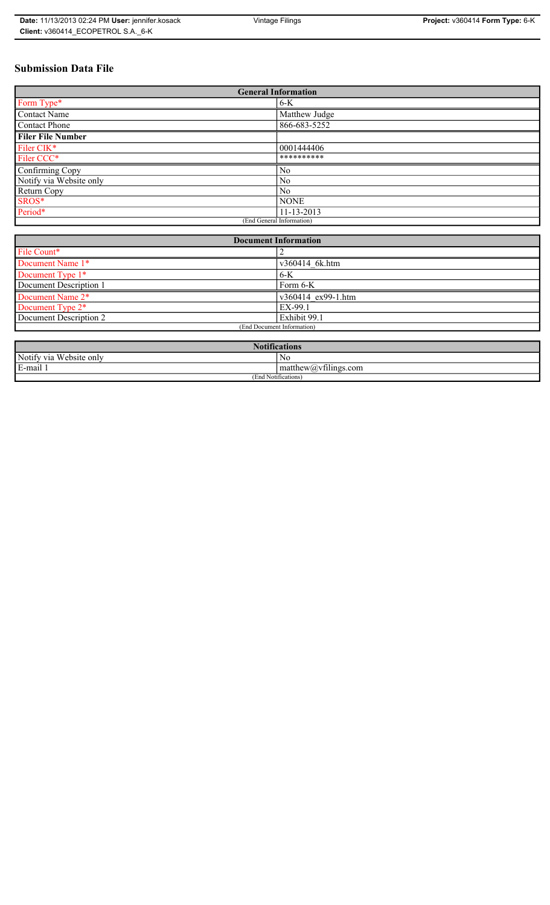# **Submission Data File**

| <b>General Information</b> |                |
|----------------------------|----------------|
| Form Type*                 | $6-K$          |
| <b>Contact Name</b>        | Matthew Judge  |
| <b>Contact Phone</b>       | 866-683-5252   |
| <b>Filer File Number</b>   |                |
| Filer CIK*                 | 0001444406     |
| Filer CCC*                 | **********     |
| Confirming Copy            | N <sub>0</sub> |
| Notify via Website only    | N <sub>0</sub> |
| Return Copy                | N <sub>0</sub> |
| SROS*                      | <b>NONE</b>    |
| Period*                    | 11-13-2013     |
| (End General Information)  |                |

| <b>Document Information</b>  |                    |
|------------------------------|--------------------|
| File Count*                  |                    |
| Document Name 1*             | v360414 6k.htm     |
| Document Type 1*             | $6 - K$            |
| Document Description 1       | Form 6-K           |
| Document Name 2*             | v360414 ex99-1.htm |
| Document Type 2 <sup>*</sup> | EX-99.1            |
| Document Description 2       | Exhibit 99.1       |
| (End Document Information)   |                    |
|                              |                    |

| <b>Notifications</b><br><b>AT</b>     |                                          |
|---------------------------------------|------------------------------------------|
| Notify via<br>T T T<br>a Website only | No                                       |
| 3-mail <sup>1</sup><br>$\blacksquare$ | $\sim$ 1.2<br>$mathew(a)$ , viilings.com |
| (End Notifications)                   |                                          |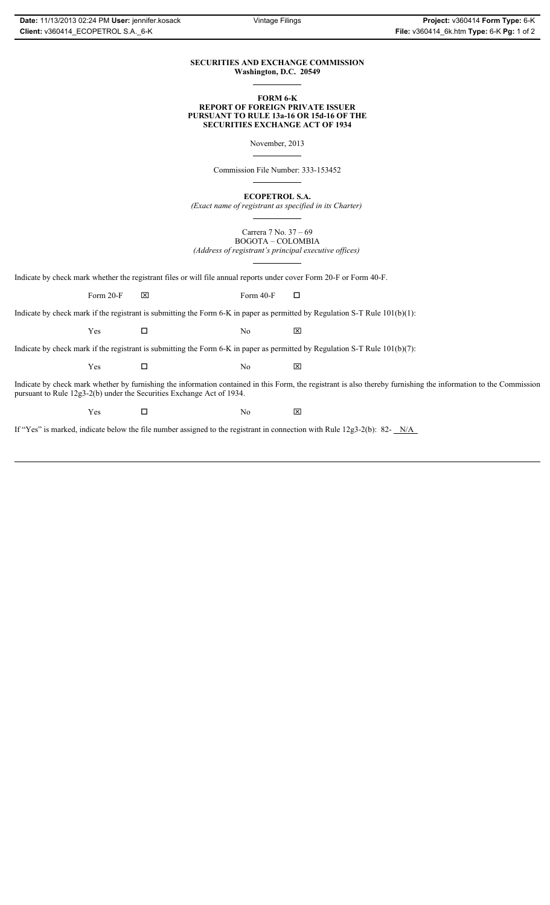## **SECURITIES AND EXCHANGE COMMISSION Washington, D.C. 20549**

### **FORM 6-K REPORT OF FOREIGN PRIVATE ISSUER PURSUANT TO RULE 13a-16 OR 15d-16 OF THE SECURITIES EXCHANGE ACT OF 1934**

November, 2013

Commission File Number: 333-153452

**ECOPETROL S.A.**

*(Exact name of registrant as specified in its Charter)*

Carrera 7 No. 37 – 69 BOGOTA – COLOMBIA *(Address of registrant's principal executive offices)*

Indicate by check mark whether the registrant files or will file annual reports under cover Form 20-F or Form 40-F.

Form 20-F  $\boxtimes$  Form 40-F  $\Box$ 

Indicate by check mark if the registrant is submitting the Form 6-K in paper as permitted by Regulation S-T Rule 101(b)(1):

 $Yes$   $\Box$  No  $X$ 

Indicate by check mark if the registrant is submitting the Form 6-K in paper as permitted by Regulation S-T Rule 101(b)(7):

 $Yes$   $\Box$  No  $X$ 

Indicate by check mark whether by furnishing the information contained in this Form, the registrant is also thereby furnishing the information to the Commission pursuant to Rule 12g3-2(b) under the Securities Exchange Act of 1934.

 $Yes$   $\Box$  No  $X$ 

If "Yes" is marked, indicate below the file number assigned to the registrant in connection with Rule 12g3-2(b): 82- N/A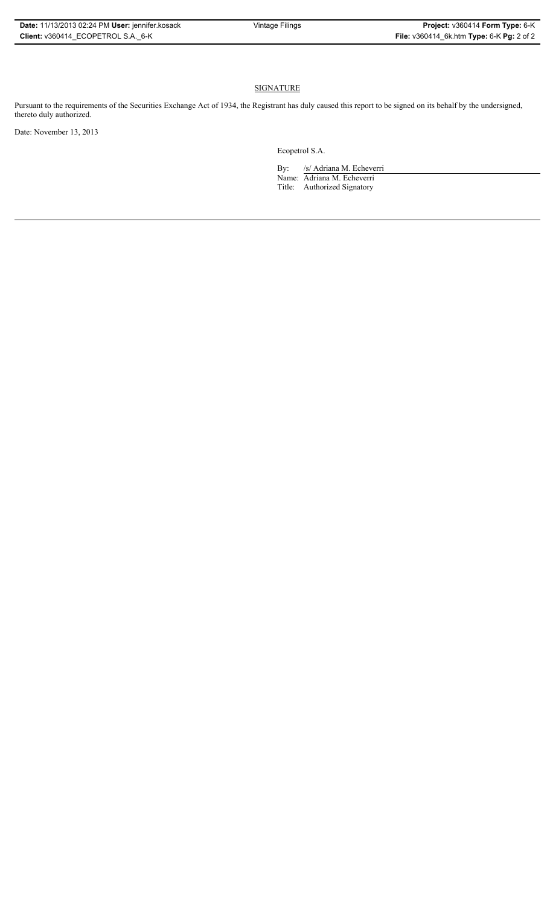## **SIGNATURE**

Pursuant to the requirements of the Securities Exchange Act of 1934, the Registrant has duly caused this report to be signed on its behalf by the undersigned, thereto duly authorized.

Date: November 13, 2013

Ecopetrol S.A.

By: /s/ Adriana M. Echeverri Name: Adriana M. Echeverri Title: Authorized Signatory